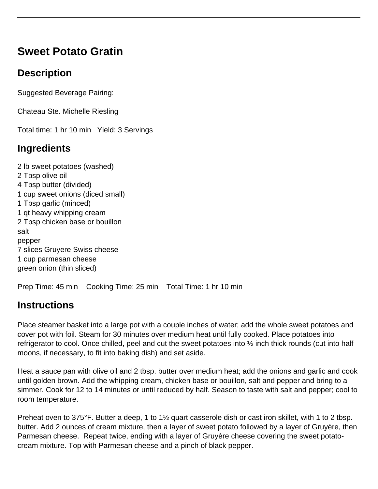# **Sweet Potato Gratin**

## **Description**

Suggested Beverage Pairing:

Chateau Ste. Michelle Riesling

Total time: 1 hr 10 min Yield: 3 Servings

### **Ingredients**

2 lb sweet potatoes (washed) 2 Tbsp olive oil 4 Tbsp butter (divided) 1 cup sweet onions (diced small) 1 Tbsp garlic (minced) 1 qt heavy whipping cream 2 Tbsp chicken base or bouillon salt pepper 7 slices Gruyere Swiss cheese 1 cup parmesan cheese green onion (thin sliced)

Prep Time: 45 min Cooking Time: 25 min Total Time: 1 hr 10 min

### **Instructions**

Place steamer basket into a large pot with a couple inches of water; add the whole sweet potatoes and cover pot with foil. Steam for 30 minutes over medium heat until fully cooked. Place potatoes into refrigerator to cool. Once chilled, peel and cut the sweet potatoes into ½ inch thick rounds (cut into half moons, if necessary, to fit into baking dish) and set aside.

Heat a sauce pan with olive oil and 2 tbsp. butter over medium heat; add the onions and garlic and cook until golden brown. Add the whipping cream, chicken base or bouillon, salt and pepper and bring to a simmer. Cook for 12 to 14 minutes or until reduced by half. Season to taste with salt and pepper; cool to room temperature.

Preheat oven to 375°F. Butter a deep, 1 to 1½ quart casserole dish or cast iron skillet, with 1 to 2 tbsp. butter. Add 2 ounces of cream mixture, then a layer of sweet potato followed by a layer of Gruyère, then Parmesan cheese. Repeat twice, ending with a layer of Gruyère cheese covering the sweet potatocream mixture. Top with Parmesan cheese and a pinch of black pepper.